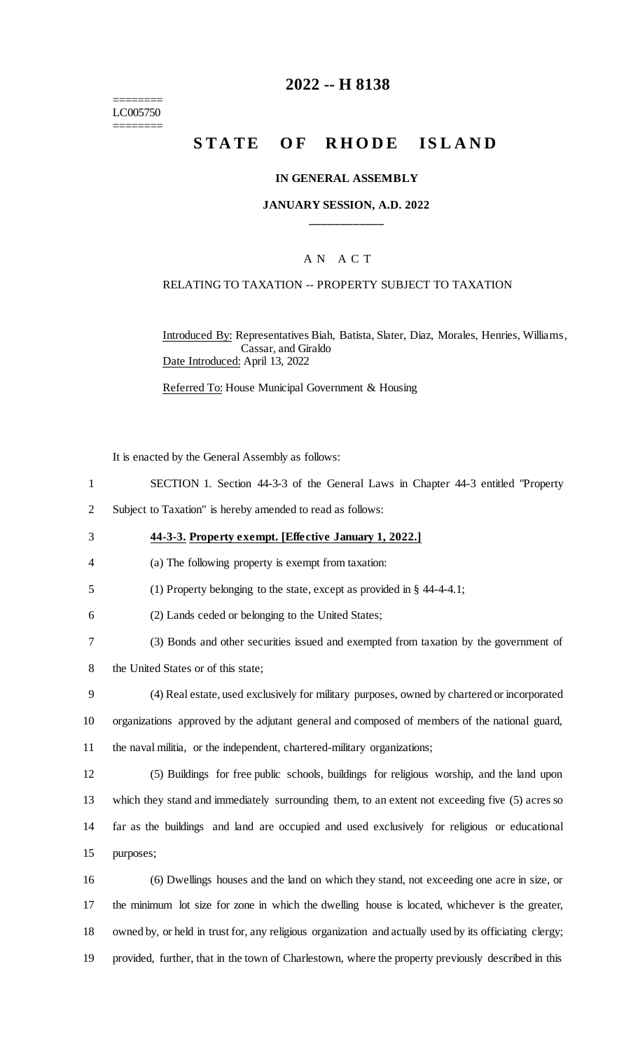======== LC005750 ========

# **2022 -- H 8138**

# **STATE OF RHODE ISLAND**

### **IN GENERAL ASSEMBLY**

## **JANUARY SESSION, A.D. 2022 \_\_\_\_\_\_\_\_\_\_\_\_**

## A N A C T

### RELATING TO TAXATION -- PROPERTY SUBJECT TO TAXATION

Introduced By: Representatives Biah, Batista, Slater, Diaz, Morales, Henries, Williams, Cassar, and Giraldo Date Introduced: April 13, 2022

Referred To: House Municipal Government & Housing

It is enacted by the General Assembly as follows:

- 1 SECTION 1. Section 44-3-3 of the General Laws in Chapter 44-3 entitled "Property
- 2 Subject to Taxation" is hereby amended to read as follows:
- 3 **44-3-3. Property exempt. [Effective January 1, 2022.]**
- 4 (a) The following property is exempt from taxation:
- 5 (1) Property belonging to the state, except as provided in § 44-4-4.1;
- 6 (2) Lands ceded or belonging to the United States;
- 7 (3) Bonds and other securities issued and exempted from taxation by the government of
- 8 the United States or of this state;
- 9 (4) Real estate, used exclusively for military purposes, owned by chartered or incorporated 10 organizations approved by the adjutant general and composed of members of the national guard, 11 the naval militia, or the independent, chartered-military organizations;
- 12 (5) Buildings for free public schools, buildings for religious worship, and the land upon 13 which they stand and immediately surrounding them, to an extent not exceeding five (5) acres so 14 far as the buildings and land are occupied and used exclusively for religious or educational 15 purposes;
- 16 (6) Dwellings houses and the land on which they stand, not exceeding one acre in size, or 17 the minimum lot size for zone in which the dwelling house is located, whichever is the greater, 18 owned by, or held in trust for, any religious organization and actually used by its officiating clergy; 19 provided, further, that in the town of Charlestown, where the property previously described in this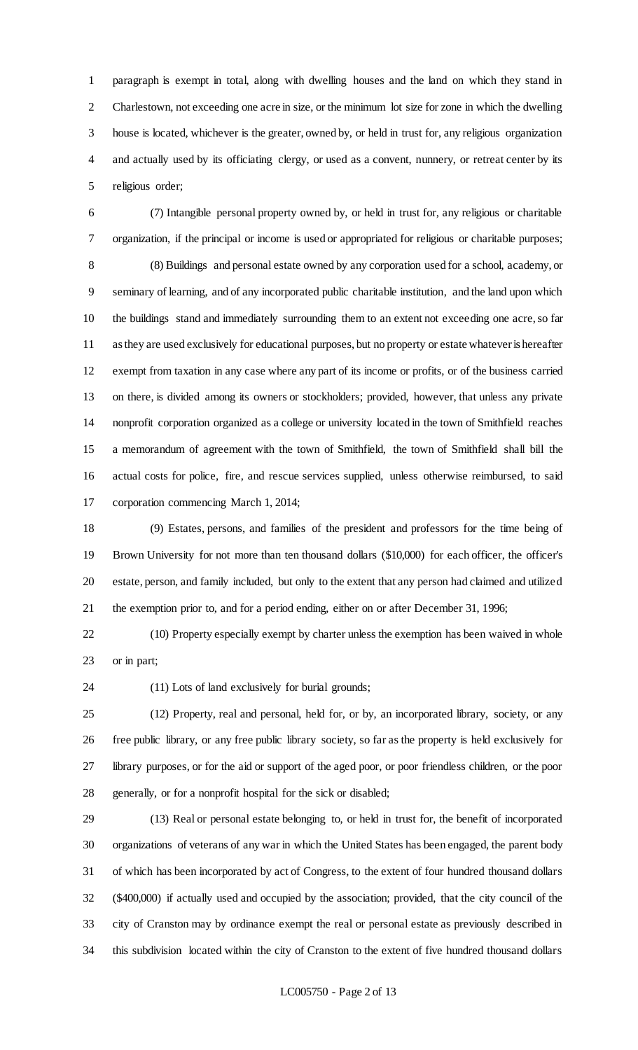paragraph is exempt in total, along with dwelling houses and the land on which they stand in Charlestown, not exceeding one acre in size, or the minimum lot size for zone in which the dwelling house is located, whichever is the greater, owned by, or held in trust for, any religious organization and actually used by its officiating clergy, or used as a convent, nunnery, or retreat center by its religious order;

 (7) Intangible personal property owned by, or held in trust for, any religious or charitable organization, if the principal or income is used or appropriated for religious or charitable purposes; (8) Buildings and personal estate owned by any corporation used for a school, academy, or seminary of learning, and of any incorporated public charitable institution, and the land upon which the buildings stand and immediately surrounding them to an extent not exceeding one acre, so far as they are used exclusively for educational purposes, but no property or estate whatever is hereafter exempt from taxation in any case where any part of its income or profits, or of the business carried on there, is divided among its owners or stockholders; provided, however, that unless any private nonprofit corporation organized as a college or university located in the town of Smithfield reaches a memorandum of agreement with the town of Smithfield, the town of Smithfield shall bill the actual costs for police, fire, and rescue services supplied, unless otherwise reimbursed, to said corporation commencing March 1, 2014;

 (9) Estates, persons, and families of the president and professors for the time being of Brown University for not more than ten thousand dollars (\$10,000) for each officer, the officer's estate, person, and family included, but only to the extent that any person had claimed and utilized the exemption prior to, and for a period ending, either on or after December 31, 1996;

 (10) Property especially exempt by charter unless the exemption has been waived in whole or in part;

(11) Lots of land exclusively for burial grounds;

 (12) Property, real and personal, held for, or by, an incorporated library, society, or any free public library, or any free public library society, so far as the property is held exclusively for library purposes, or for the aid or support of the aged poor, or poor friendless children, or the poor generally, or for a nonprofit hospital for the sick or disabled;

 (13) Real or personal estate belonging to, or held in trust for, the benefit of incorporated organizations of veterans of any war in which the United States has been engaged, the parent body of which has been incorporated by act of Congress, to the extent of four hundred thousand dollars (\$400,000) if actually used and occupied by the association; provided, that the city council of the city of Cranston may by ordinance exempt the real or personal estate as previously described in this subdivision located within the city of Cranston to the extent of five hundred thousand dollars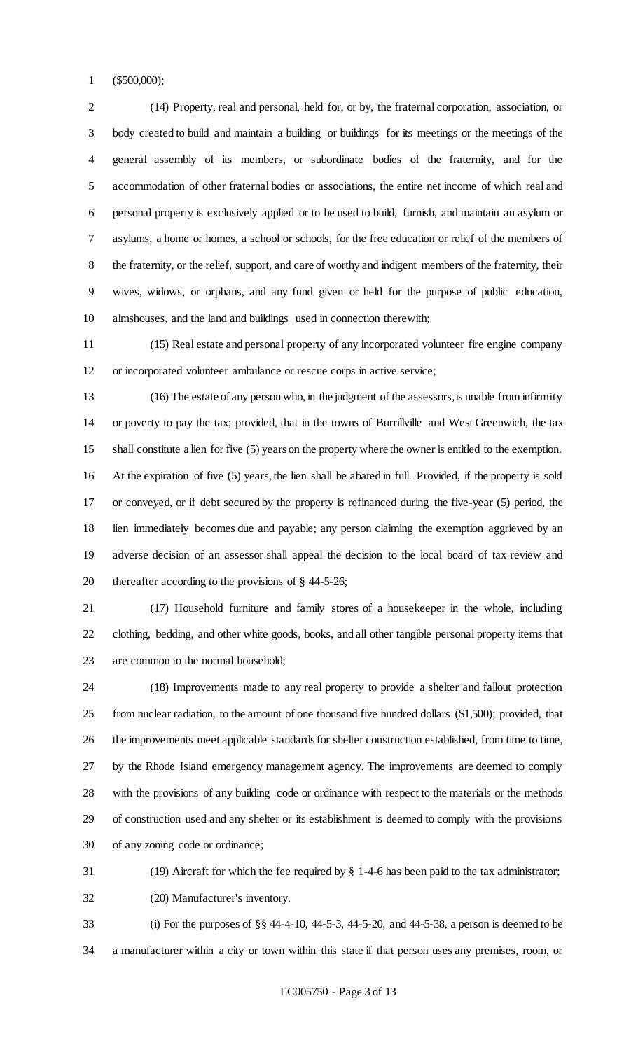(\$500,000);

 (14) Property, real and personal, held for, or by, the fraternal corporation, association, or body created to build and maintain a building or buildings for its meetings or the meetings of the general assembly of its members, or subordinate bodies of the fraternity, and for the accommodation of other fraternal bodies or associations, the entire net income of which real and personal property is exclusively applied or to be used to build, furnish, and maintain an asylum or asylums, a home or homes, a school or schools, for the free education or relief of the members of the fraternity, or the relief, support, and care of worthy and indigent members of the fraternity, their wives, widows, or orphans, and any fund given or held for the purpose of public education, almshouses, and the land and buildings used in connection therewith;

 (15) Real estate and personal property of any incorporated volunteer fire engine company or incorporated volunteer ambulance or rescue corps in active service;

 (16) The estate of any person who, in the judgment of the assessors, is unable from infirmity or poverty to pay the tax; provided, that in the towns of Burrillville and West Greenwich, the tax shall constitute a lien for five (5) years on the property where the owner is entitled to the exemption. At the expiration of five (5) years, the lien shall be abated in full. Provided, if the property is sold or conveyed, or if debt secured by the property is refinanced during the five-year (5) period, the lien immediately becomes due and payable; any person claiming the exemption aggrieved by an adverse decision of an assessor shall appeal the decision to the local board of tax review and thereafter according to the provisions of § 44-5-26;

 (17) Household furniture and family stores of a housekeeper in the whole, including clothing, bedding, and other white goods, books, and all other tangible personal property items that are common to the normal household;

 (18) Improvements made to any real property to provide a shelter and fallout protection from nuclear radiation, to the amount of one thousand five hundred dollars (\$1,500); provided, that the improvements meet applicable standards for shelter construction established, from time to time, by the Rhode Island emergency management agency. The improvements are deemed to comply with the provisions of any building code or ordinance with respect to the materials or the methods of construction used and any shelter or its establishment is deemed to comply with the provisions of any zoning code or ordinance;

(19) Aircraft for which the fee required by § 1-4-6 has been paid to the tax administrator;

(20) Manufacturer's inventory.

 (i) For the purposes of §§ 44-4-10, 44-5-3, 44-5-20, and 44-5-38, a person is deemed to be a manufacturer within a city or town within this state if that person uses any premises, room, or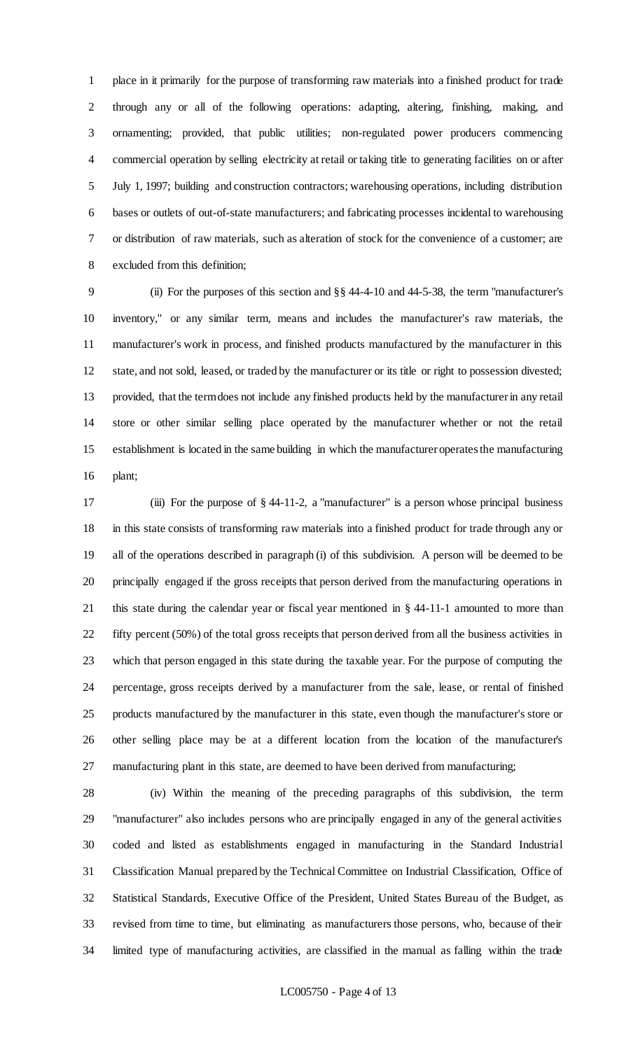place in it primarily for the purpose of transforming raw materials into a finished product for trade through any or all of the following operations: adapting, altering, finishing, making, and ornamenting; provided, that public utilities; non-regulated power producers commencing commercial operation by selling electricity at retail or taking title to generating facilities on or after July 1, 1997; building and construction contractors; warehousing operations, including distribution bases or outlets of out-of-state manufacturers; and fabricating processes incidental to warehousing or distribution of raw materials, such as alteration of stock for the convenience of a customer; are excluded from this definition;

 (ii) For the purposes of this section and §§ 44-4-10 and 44-5-38, the term "manufacturer's inventory," or any similar term, means and includes the manufacturer's raw materials, the manufacturer's work in process, and finished products manufactured by the manufacturer in this state, and not sold, leased, or traded by the manufacturer or its title or right to possession divested; provided, that the term does not include any finished products held by the manufacturer in any retail store or other similar selling place operated by the manufacturer whether or not the retail establishment is located in the same building in which the manufacturer operates the manufacturing plant;

 (iii) For the purpose of § 44-11-2, a "manufacturer" is a person whose principal business in this state consists of transforming raw materials into a finished product for trade through any or all of the operations described in paragraph (i) of this subdivision. A person will be deemed to be principally engaged if the gross receipts that person derived from the manufacturing operations in this state during the calendar year or fiscal year mentioned in § 44-11-1 amounted to more than fifty percent (50%) of the total gross receipts that person derived from all the business activities in which that person engaged in this state during the taxable year. For the purpose of computing the percentage, gross receipts derived by a manufacturer from the sale, lease, or rental of finished products manufactured by the manufacturer in this state, even though the manufacturer's store or other selling place may be at a different location from the location of the manufacturer's manufacturing plant in this state, are deemed to have been derived from manufacturing;

 (iv) Within the meaning of the preceding paragraphs of this subdivision, the term "manufacturer" also includes persons who are principally engaged in any of the general activities coded and listed as establishments engaged in manufacturing in the Standard Industrial Classification Manual prepared by the Technical Committee on Industrial Classification, Office of Statistical Standards, Executive Office of the President, United States Bureau of the Budget, as revised from time to time, but eliminating as manufacturers those persons, who, because of their limited type of manufacturing activities, are classified in the manual as falling within the trade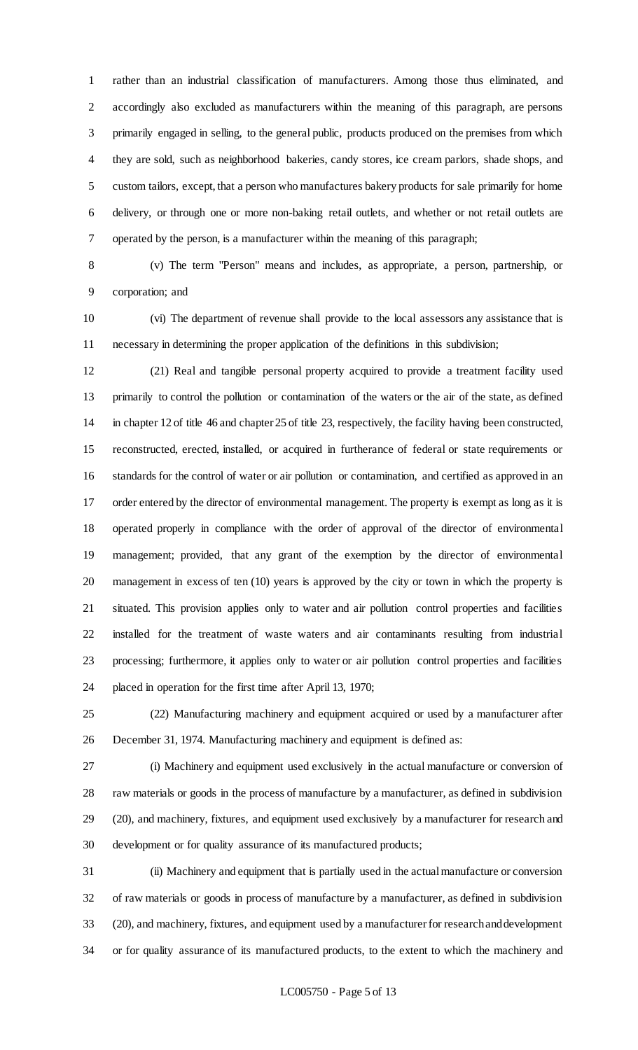rather than an industrial classification of manufacturers. Among those thus eliminated, and accordingly also excluded as manufacturers within the meaning of this paragraph, are persons primarily engaged in selling, to the general public, products produced on the premises from which they are sold, such as neighborhood bakeries, candy stores, ice cream parlors, shade shops, and custom tailors, except, that a person who manufactures bakery products for sale primarily for home delivery, or through one or more non-baking retail outlets, and whether or not retail outlets are operated by the person, is a manufacturer within the meaning of this paragraph;

 (v) The term "Person" means and includes, as appropriate, a person, partnership, or corporation; and

 (vi) The department of revenue shall provide to the local assessors any assistance that is necessary in determining the proper application of the definitions in this subdivision;

 (21) Real and tangible personal property acquired to provide a treatment facility used primarily to control the pollution or contamination of the waters or the air of the state, as defined in chapter 12 of title 46 and chapter 25 of title 23, respectively, the facility having been constructed, reconstructed, erected, installed, or acquired in furtherance of federal or state requirements or standards for the control of water or air pollution or contamination, and certified as approved in an order entered by the director of environmental management. The property is exempt as long as it is operated properly in compliance with the order of approval of the director of environmental management; provided, that any grant of the exemption by the director of environmental management in excess of ten (10) years is approved by the city or town in which the property is situated. This provision applies only to water and air pollution control properties and facilities installed for the treatment of waste waters and air contaminants resulting from industrial processing; furthermore, it applies only to water or air pollution control properties and facilities placed in operation for the first time after April 13, 1970;

 (22) Manufacturing machinery and equipment acquired or used by a manufacturer after December 31, 1974. Manufacturing machinery and equipment is defined as:

 (i) Machinery and equipment used exclusively in the actual manufacture or conversion of raw materials or goods in the process of manufacture by a manufacturer, as defined in subdivision (20), and machinery, fixtures, and equipment used exclusively by a manufacturer for research and development or for quality assurance of its manufactured products;

 (ii) Machinery and equipment that is partially used in the actual manufacture or conversion of raw materials or goods in process of manufacture by a manufacturer, as defined in subdivision (20), and machinery, fixtures, and equipment used by a manufacturer for research and development or for quality assurance of its manufactured products, to the extent to which the machinery and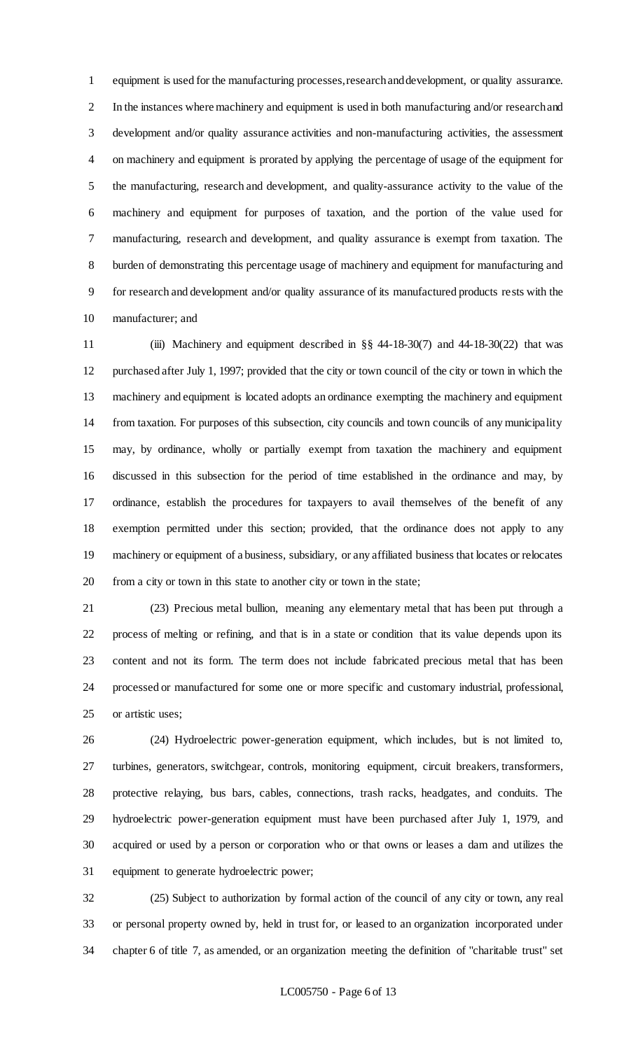equipment is used for the manufacturing processes, research and development, or quality assurance. In the instances where machinery and equipment is used in both manufacturing and/or research and development and/or quality assurance activities and non-manufacturing activities, the assessment on machinery and equipment is prorated by applying the percentage of usage of the equipment for the manufacturing, research and development, and quality-assurance activity to the value of the machinery and equipment for purposes of taxation, and the portion of the value used for manufacturing, research and development, and quality assurance is exempt from taxation. The burden of demonstrating this percentage usage of machinery and equipment for manufacturing and for research and development and/or quality assurance of its manufactured products rests with the manufacturer; and

 (iii) Machinery and equipment described in §§ 44-18-30(7) and 44-18-30(22) that was purchased after July 1, 1997; provided that the city or town council of the city or town in which the machinery and equipment is located adopts an ordinance exempting the machinery and equipment from taxation. For purposes of this subsection, city councils and town councils of any municipality may, by ordinance, wholly or partially exempt from taxation the machinery and equipment discussed in this subsection for the period of time established in the ordinance and may, by ordinance, establish the procedures for taxpayers to avail themselves of the benefit of any exemption permitted under this section; provided, that the ordinance does not apply to any machinery or equipment of a business, subsidiary, or any affiliated business that locates or relocates from a city or town in this state to another city or town in the state;

 (23) Precious metal bullion, meaning any elementary metal that has been put through a process of melting or refining, and that is in a state or condition that its value depends upon its content and not its form. The term does not include fabricated precious metal that has been processed or manufactured for some one or more specific and customary industrial, professional, or artistic uses;

 (24) Hydroelectric power-generation equipment, which includes, but is not limited to, turbines, generators, switchgear, controls, monitoring equipment, circuit breakers, transformers, protective relaying, bus bars, cables, connections, trash racks, headgates, and conduits. The hydroelectric power-generation equipment must have been purchased after July 1, 1979, and acquired or used by a person or corporation who or that owns or leases a dam and utilizes the equipment to generate hydroelectric power;

 (25) Subject to authorization by formal action of the council of any city or town, any real or personal property owned by, held in trust for, or leased to an organization incorporated under chapter 6 of title 7, as amended, or an organization meeting the definition of "charitable trust" set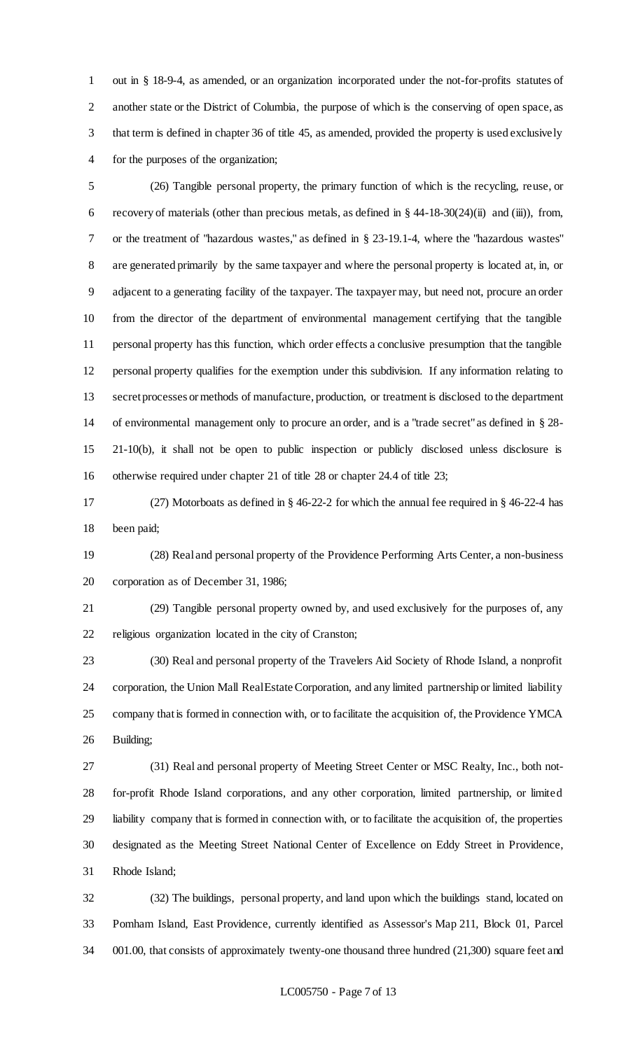out in § 18-9-4, as amended, or an organization incorporated under the not-for-profits statutes of another state or the District of Columbia, the purpose of which is the conserving of open space, as that term is defined in chapter 36 of title 45, as amended, provided the property is used exclusively for the purposes of the organization;

 (26) Tangible personal property, the primary function of which is the recycling, reuse, or recovery of materials (other than precious metals, as defined in § 44-18-30(24)(ii) and (iii)), from, or the treatment of "hazardous wastes," as defined in § 23-19.1-4, where the "hazardous wastes" are generated primarily by the same taxpayer and where the personal property is located at, in, or adjacent to a generating facility of the taxpayer. The taxpayer may, but need not, procure an order from the director of the department of environmental management certifying that the tangible personal property has this function, which order effects a conclusive presumption that the tangible personal property qualifies for the exemption under this subdivision. If any information relating to secret processes or methods of manufacture, production, or treatment is disclosed to the department of environmental management only to procure an order, and is a "trade secret" as defined in § 28- 21-10(b), it shall not be open to public inspection or publicly disclosed unless disclosure is otherwise required under chapter 21 of title 28 or chapter 24.4 of title 23;

 (27) Motorboats as defined in § 46-22-2 for which the annual fee required in § 46-22-4 has been paid;

 (28) Real and personal property of the Providence Performing Arts Center, a non-business corporation as of December 31, 1986;

 (29) Tangible personal property owned by, and used exclusively for the purposes of, any religious organization located in the city of Cranston;

 (30) Real and personal property of the Travelers Aid Society of Rhode Island, a nonprofit 24 corporation, the Union Mall Real Estate Corporation, and any limited partnership or limited liability company that is formed in connection with, or to facilitate the acquisition of, the Providence YMCA Building;

 (31) Real and personal property of Meeting Street Center or MSC Realty, Inc., both not- for-profit Rhode Island corporations, and any other corporation, limited partnership, or limited liability company that is formed in connection with, or to facilitate the acquisition of, the properties designated as the Meeting Street National Center of Excellence on Eddy Street in Providence, Rhode Island;

 (32) The buildings, personal property, and land upon which the buildings stand, located on Pomham Island, East Providence, currently identified as Assessor's Map 211, Block 01, Parcel 001.00, that consists of approximately twenty-one thousand three hundred (21,300) square feet and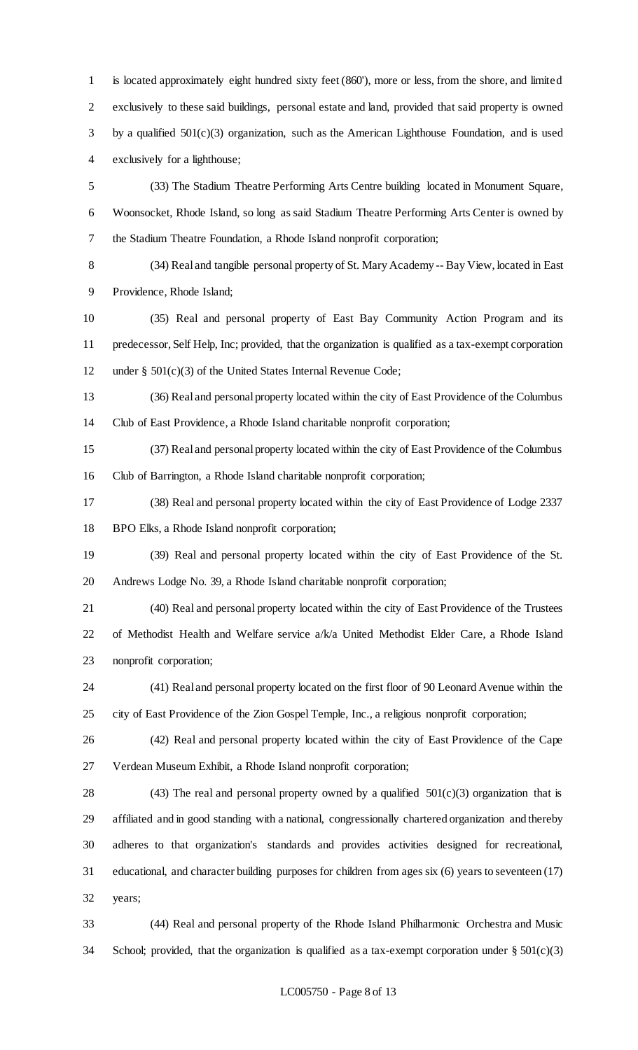is located approximately eight hundred sixty feet (860'), more or less, from the shore, and limited exclusively to these said buildings, personal estate and land, provided that said property is owned 3 by a qualified  $501(c)(3)$  organization, such as the American Lighthouse Foundation, and is used exclusively for a lighthouse;

 (33) The Stadium Theatre Performing Arts Centre building located in Monument Square, Woonsocket, Rhode Island, so long as said Stadium Theatre Performing Arts Center is owned by the Stadium Theatre Foundation, a Rhode Island nonprofit corporation;

 (34) Real and tangible personal property of St. Mary Academy -- Bay View, located in East Providence, Rhode Island;

 (35) Real and personal property of East Bay Community Action Program and its predecessor, Self Help, Inc; provided, that the organization is qualified as a tax-exempt corporation under § 501(c)(3) of the United States Internal Revenue Code;

 (36) Real and personal property located within the city of East Providence of the Columbus Club of East Providence, a Rhode Island charitable nonprofit corporation;

 (37) Real and personal property located within the city of East Providence of the Columbus Club of Barrington, a Rhode Island charitable nonprofit corporation;

 (38) Real and personal property located within the city of East Providence of Lodge 2337 BPO Elks, a Rhode Island nonprofit corporation;

 (39) Real and personal property located within the city of East Providence of the St. Andrews Lodge No. 39, a Rhode Island charitable nonprofit corporation;

 (40) Real and personal property located within the city of East Providence of the Trustees of Methodist Health and Welfare service a/k/a United Methodist Elder Care, a Rhode Island nonprofit corporation;

 (41) Real and personal property located on the first floor of 90 Leonard Avenue within the city of East Providence of the Zion Gospel Temple, Inc., a religious nonprofit corporation;

 (42) Real and personal property located within the city of East Providence of the Cape Verdean Museum Exhibit, a Rhode Island nonprofit corporation;

28 (43) The real and personal property owned by a qualified  $501(c)(3)$  organization that is affiliated and in good standing with a national, congressionally chartered organization and thereby adheres to that organization's standards and provides activities designed for recreational, educational, and character building purposes for children from ages six (6) years to seventeen (17) years;

 (44) Real and personal property of the Rhode Island Philharmonic Orchestra and Music School; provided, that the organization is qualified as a tax-exempt corporation under § 501(c)(3)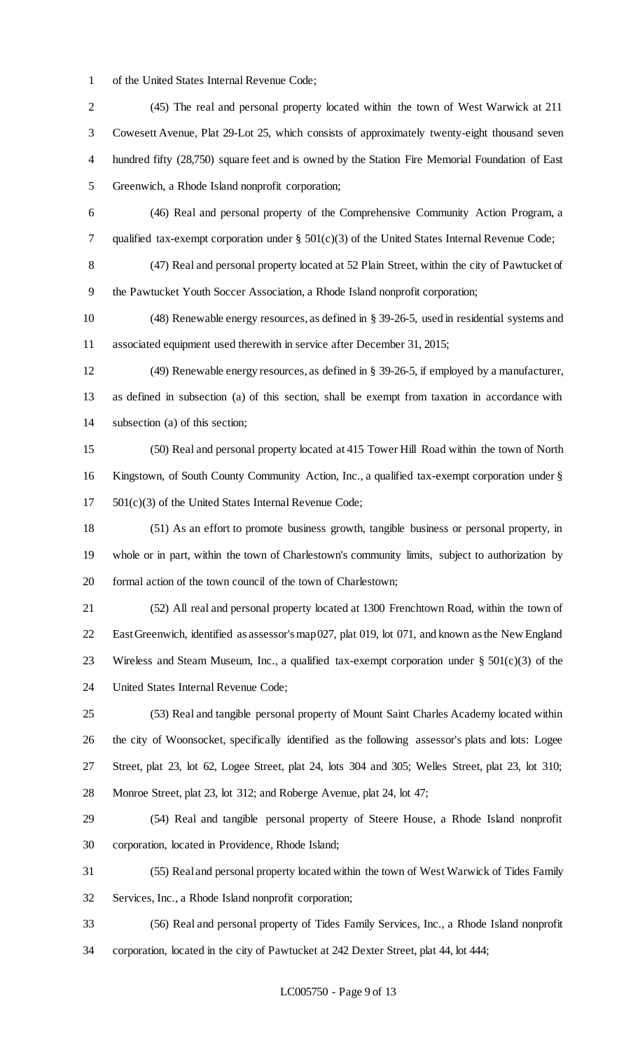of the United States Internal Revenue Code;

 (45) The real and personal property located within the town of West Warwick at 211 Cowesett Avenue, Plat 29-Lot 25, which consists of approximately twenty-eight thousand seven hundred fifty (28,750) square feet and is owned by the Station Fire Memorial Foundation of East Greenwich, a Rhode Island nonprofit corporation;

 (46) Real and personal property of the Comprehensive Community Action Program, a qualified tax-exempt corporation under § 501(c)(3) of the United States Internal Revenue Code;

(47) Real and personal property located at 52 Plain Street, within the city of Pawtucket of

the Pawtucket Youth Soccer Association, a Rhode Island nonprofit corporation;

 (48) Renewable energy resources, as defined in § 39-26-5, used in residential systems and associated equipment used therewith in service after December 31, 2015;

 (49) Renewable energy resources, as defined in § 39-26-5, if employed by a manufacturer, as defined in subsection (a) of this section, shall be exempt from taxation in accordance with subsection (a) of this section;

 (50) Real and personal property located at 415 Tower Hill Road within the town of North Kingstown, of South County Community Action, Inc., a qualified tax-exempt corporation under § 501(c)(3) of the United States Internal Revenue Code;

 (51) As an effort to promote business growth, tangible business or personal property, in whole or in part, within the town of Charlestown's community limits, subject to authorization by formal action of the town council of the town of Charlestown;

 (52) All real and personal property located at 1300 Frenchtown Road, within the town of East Greenwich, identified as assessor's map 027, plat 019, lot 071, and known as the New England Wireless and Steam Museum, Inc., a qualified tax-exempt corporation under § 501(c)(3) of the United States Internal Revenue Code;

 (53) Real and tangible personal property of Mount Saint Charles Academy located within the city of Woonsocket, specifically identified as the following assessor's plats and lots: Logee Street, plat 23, lot 62, Logee Street, plat 24, lots 304 and 305; Welles Street, plat 23, lot 310; Monroe Street, plat 23, lot 312; and Roberge Avenue, plat 24, lot 47;

 (54) Real and tangible personal property of Steere House, a Rhode Island nonprofit corporation, located in Providence, Rhode Island;

 (55) Real and personal property located within the town of West Warwick of Tides Family Services, Inc., a Rhode Island nonprofit corporation;

 (56) Real and personal property of Tides Family Services, Inc., a Rhode Island nonprofit corporation, located in the city of Pawtucket at 242 Dexter Street, plat 44, lot 444;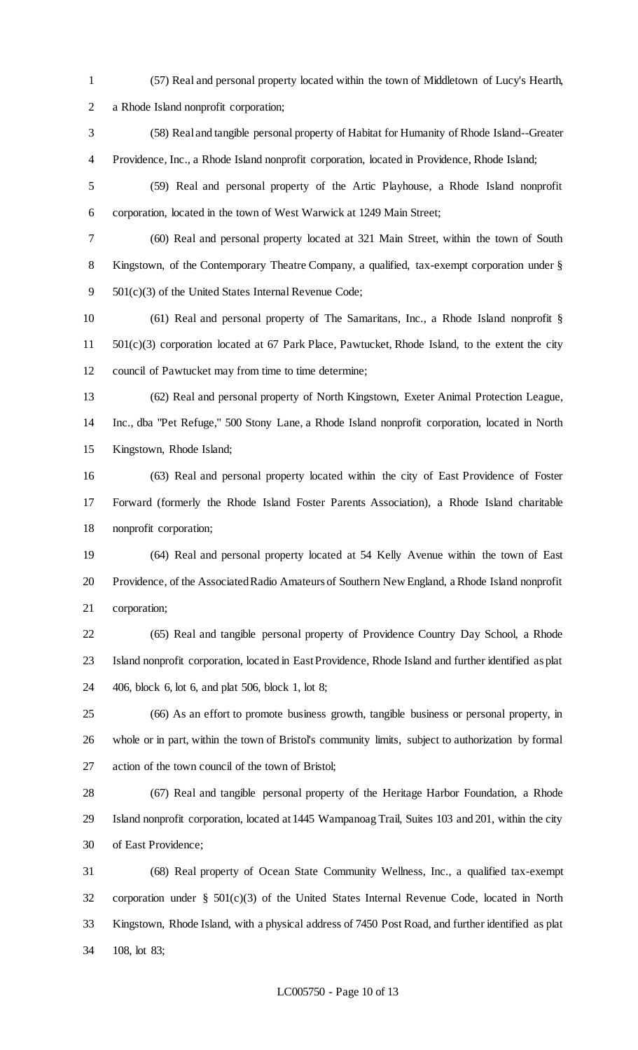- (57) Real and personal property located within the town of Middletown of Lucy's Hearth,
- 

a Rhode Island nonprofit corporation;

- (58) Real and tangible personal property of Habitat for Humanity of Rhode Island--Greater Providence, Inc., a Rhode Island nonprofit corporation, located in Providence, Rhode Island;
- (59) Real and personal property of the Artic Playhouse, a Rhode Island nonprofit corporation, located in the town of West Warwick at 1249 Main Street;
- 

 (60) Real and personal property located at 321 Main Street, within the town of South Kingstown, of the Contemporary Theatre Company, a qualified, tax-exempt corporation under § 501(c)(3) of the United States Internal Revenue Code;

 (61) Real and personal property of The Samaritans, Inc., a Rhode Island nonprofit § 501(c)(3) corporation located at 67 Park Place, Pawtucket, Rhode Island, to the extent the city council of Pawtucket may from time to time determine;

 (62) Real and personal property of North Kingstown, Exeter Animal Protection League, Inc., dba "Pet Refuge," 500 Stony Lane, a Rhode Island nonprofit corporation, located in North Kingstown, Rhode Island;

 (63) Real and personal property located within the city of East Providence of Foster Forward (formerly the Rhode Island Foster Parents Association), a Rhode Island charitable nonprofit corporation;

 (64) Real and personal property located at 54 Kelly Avenue within the town of East Providence, of the Associated Radio Amateurs of Southern New England, a Rhode Island nonprofit corporation;

 (65) Real and tangible personal property of Providence Country Day School, a Rhode Island nonprofit corporation, located in East Providence, Rhode Island and further identified as plat 406, block 6, lot 6, and plat 506, block 1, lot 8;

 (66) As an effort to promote business growth, tangible business or personal property, in whole or in part, within the town of Bristol's community limits, subject to authorization by formal action of the town council of the town of Bristol;

 (67) Real and tangible personal property of the Heritage Harbor Foundation, a Rhode Island nonprofit corporation, located at 1445 Wampanoag Trail, Suites 103 and 201, within the city of East Providence;

 (68) Real property of Ocean State Community Wellness, Inc., a qualified tax-exempt corporation under § 501(c)(3) of the United States Internal Revenue Code, located in North Kingstown, Rhode Island, with a physical address of 7450 Post Road, and further identified as plat 108, lot 83;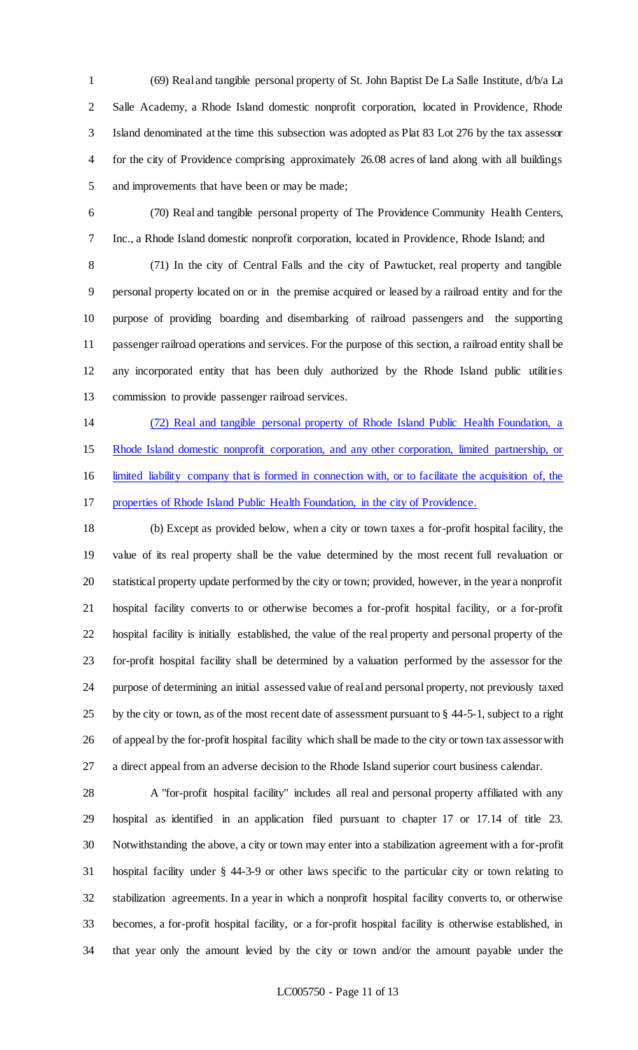(69) Real and tangible personal property of St. John Baptist De La Salle Institute, d/b/a La Salle Academy, a Rhode Island domestic nonprofit corporation, located in Providence, Rhode Island denominated at the time this subsection was adopted as Plat 83 Lot 276 by the tax assessor for the city of Providence comprising approximately 26.08 acres of land along with all buildings and improvements that have been or may be made;

 (70) Real and tangible personal property of The Providence Community Health Centers, Inc., a Rhode Island domestic nonprofit corporation, located in Providence, Rhode Island; and

 (71) In the city of Central Falls and the city of Pawtucket, real property and tangible personal property located on or in the premise acquired or leased by a railroad entity and for the purpose of providing boarding and disembarking of railroad passengers and the supporting passenger railroad operations and services. For the purpose of this section, a railroad entity shall be any incorporated entity that has been duly authorized by the Rhode Island public utilities commission to provide passenger railroad services.

 (72) Real and tangible personal property of Rhode Island Public Health Foundation, a Rhode Island domestic nonprofit corporation, and any other corporation, limited partnership, or limited liability company that is formed in connection with, or to facilitate the acquisition of, the properties of Rhode Island Public Health Foundation, in the city of Providence.

 (b) Except as provided below, when a city or town taxes a for-profit hospital facility, the value of its real property shall be the value determined by the most recent full revaluation or statistical property update performed by the city or town; provided, however, in the year a nonprofit hospital facility converts to or otherwise becomes a for-profit hospital facility, or a for-profit hospital facility is initially established, the value of the real property and personal property of the for-profit hospital facility shall be determined by a valuation performed by the assessor for the purpose of determining an initial assessed value of real and personal property, not previously taxed by the city or town, as of the most recent date of assessment pursuant to § 44-5-1, subject to a right of appeal by the for-profit hospital facility which shall be made to the city or town tax assessor with a direct appeal from an adverse decision to the Rhode Island superior court business calendar.

 A "for-profit hospital facility" includes all real and personal property affiliated with any hospital as identified in an application filed pursuant to chapter 17 or 17.14 of title 23. Notwithstanding the above, a city or town may enter into a stabilization agreement with a for-profit hospital facility under § 44-3-9 or other laws specific to the particular city or town relating to stabilization agreements. In a year in which a nonprofit hospital facility converts to, or otherwise becomes, a for-profit hospital facility, or a for-profit hospital facility is otherwise established, in that year only the amount levied by the city or town and/or the amount payable under the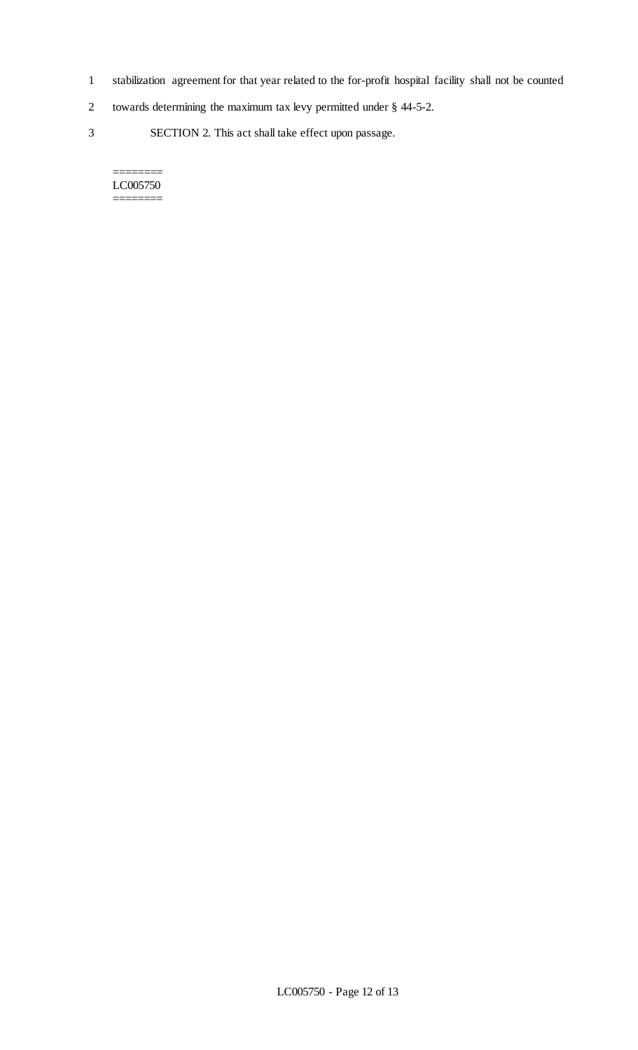- 1 stabilization agreement for that year related to the for-profit hospital facility shall not be counted
- 2 towards determining the maximum tax levy permitted under § 44-5-2.
- 3 SECTION 2. This act shall take effect upon passage.

#### ======== LC005750 ========